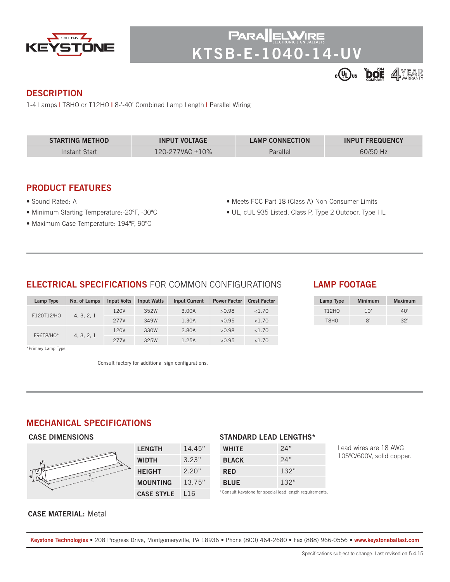

PAR/ **KTSB-E-1040-14-UV**



### **DESCRIPTION**

1-4 Lamps **|** T8HO or T12HO **|** 8-'-40' Combined Lamp Length **|** Parallel Wiring

| <b>STARTING METHOD</b> | <b>INPUT VOLTAGE</b>       | <b>LAMP CONNECTION</b> | <b>INPUT FREQUENCY</b> |
|------------------------|----------------------------|------------------------|------------------------|
| Instant Start          | $120 - 277$ VAC $\pm 10\%$ | Parallel               | 60/50 Hz               |

## **PRODUCT FEATURES**

- Sound Rated: A
- Minimum Starting Temperature:-20ºF, -30ºC
- Maximum Case Temperature: 194ºF, 90ºC
- Meets FCC Part 18 (Class A) Non-Consumer Limits
- UL, cUL 935 Listed, Class P, Type 2 Outdoor, Type HL

# **ELECTRICAL SPECIFICATIONS** FOR COMMON CONFIGURATIONS

| Lamp Type               | No. of Lamps | <b>Input Volts</b> | <b>Input Watts</b> | <b>Input Current</b> | <b>Power Factor</b> | <b>Crest Factor</b> |
|-------------------------|--------------|--------------------|--------------------|----------------------|---------------------|---------------------|
| F120T12/HO              |              | 120V               | 352W               | 3.00A                | >0.98               | < 1.70              |
|                         | 4, 3, 2, 1   | 277V               | 349W               | 1.30A                | >0.95               | < 1.70              |
| F96T8/HO*<br>4, 3, 2, 1 |              | 120V               | 330W               | 2.80A                | >0.98               | < 1.70              |
|                         |              | 277V               | 325W               | 1.25A                | >0.95               | < 1.70              |

\*Primary Lamp Type

Consult factory for additional sign configurations.

# **LAMP FOOTAGE**

| Lamp Type         | Minimum | <b>Maximum</b> |
|-------------------|---------|----------------|
| T12H <sub>0</sub> | 10'     | 40'            |
| T8HO              | R'      | 32'            |

# **MECHANICAL SPECIFICATIONS**

 **CASE DIMENSIONS**

| <b>LENGTH</b>     | 14.45" |
|-------------------|--------|
| WIDTH             | 3.23"  |
| <b>HEIGHT</b>     | 2.20"  |
| MOUNTING          | 13.75" |
| <b>CASE STYLE</b> | l 16   |

#### **STANDARD LEAD LENGTHS\***

| <b>WHITE</b> | 24"  |
|--------------|------|
| <b>BLACK</b> | 24"  |
| <b>RED</b>   | 132" |
| <b>BLUE</b>  | 132" |
|              |      |

Lead wires are 18 AWG 105ºC/600V, solid copper.

\*Consult Keystone for special lead length requirements.

#### **CASE MATERIAL:** Metal

**Keystone Technologies •** 208 Progress Drive, Montgomeryville, PA 18936 **•** Phone (800) 464-2680 **•** Fax (888) 966-0556 • **www.keystoneballast.com**